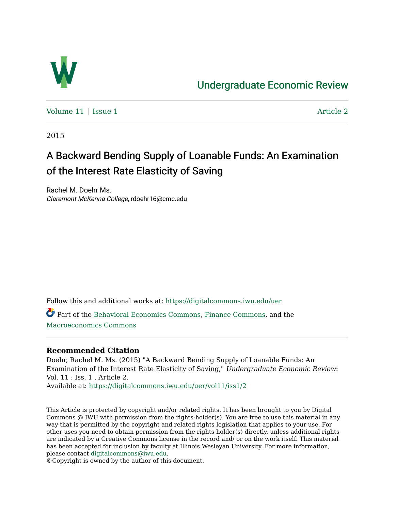

# [Undergraduate Economic Review](https://digitalcommons.iwu.edu/uer)

Volume  $11$  | [Issue 1](https://digitalcommons.iwu.edu/uer/vol11/iss1)  $\blacksquare$ 

2015

# A Backward Bending Supply of Loanable Funds: An Examination of the Interest Rate Elasticity of Saving

Rachel M. Doehr Ms. Claremont McKenna College, rdoehr16@cmc.edu

Follow this and additional works at: [https://digitalcommons.iwu.edu/uer](https://digitalcommons.iwu.edu/uer?utm_source=digitalcommons.iwu.edu%2Fuer%2Fvol11%2Fiss1%2F2&utm_medium=PDF&utm_campaign=PDFCoverPages)

Part of the [Behavioral Economics Commons](http://network.bepress.com/hgg/discipline/341?utm_source=digitalcommons.iwu.edu%2Fuer%2Fvol11%2Fiss1%2F2&utm_medium=PDF&utm_campaign=PDFCoverPages), [Finance Commons](http://network.bepress.com/hgg/discipline/345?utm_source=digitalcommons.iwu.edu%2Fuer%2Fvol11%2Fiss1%2F2&utm_medium=PDF&utm_campaign=PDFCoverPages), and the [Macroeconomics Commons](http://network.bepress.com/hgg/discipline/350?utm_source=digitalcommons.iwu.edu%2Fuer%2Fvol11%2Fiss1%2F2&utm_medium=PDF&utm_campaign=PDFCoverPages)

# **Recommended Citation**

Doehr, Rachel M. Ms. (2015) "A Backward Bending Supply of Loanable Funds: An Examination of the Interest Rate Elasticity of Saving," Undergraduate Economic Review: Vol. 11 : Iss. 1 , Article 2. Available at: [https://digitalcommons.iwu.edu/uer/vol11/iss1/2](https://digitalcommons.iwu.edu/uer/vol11/iss1/2?utm_source=digitalcommons.iwu.edu%2Fuer%2Fvol11%2Fiss1%2F2&utm_medium=PDF&utm_campaign=PDFCoverPages)

This Article is protected by copyright and/or related rights. It has been brought to you by Digital Commons @ IWU with permission from the rights-holder(s). You are free to use this material in any way that is permitted by the copyright and related rights legislation that applies to your use. For other uses you need to obtain permission from the rights-holder(s) directly, unless additional rights are indicated by a Creative Commons license in the record and/ or on the work itself. This material has been accepted for inclusion by faculty at Illinois Wesleyan University. For more information, please contact [digitalcommons@iwu.edu.](mailto:digitalcommons@iwu.edu)

©Copyright is owned by the author of this document.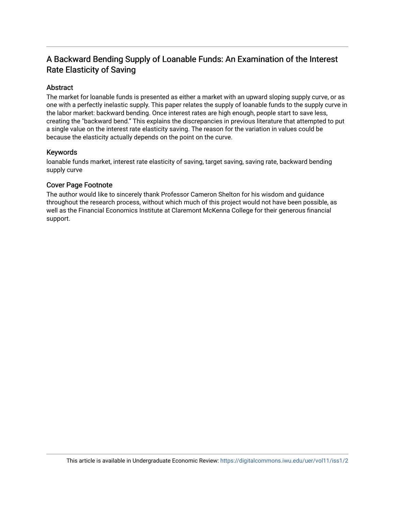# A Backward Bending Supply of Loanable Funds: An Examination of the Interest Rate Elasticity of Saving

# Abstract

The market for loanable funds is presented as either a market with an upward sloping supply curve, or as one with a perfectly inelastic supply. This paper relates the supply of loanable funds to the supply curve in the labor market: backward bending. Once interest rates are high enough, people start to save less, creating the "backward bend." This explains the discrepancies in previous literature that attempted to put a single value on the interest rate elasticity saving. The reason for the variation in values could be because the elasticity actually depends on the point on the curve.

# Keywords

loanable funds market, interest rate elasticity of saving, target saving, saving rate, backward bending supply curve

# Cover Page Footnote

The author would like to sincerely thank Professor Cameron Shelton for his wisdom and guidance throughout the research process, without which much of this project would not have been possible, as well as the Financial Economics Institute at Claremont McKenna College for their generous financial support.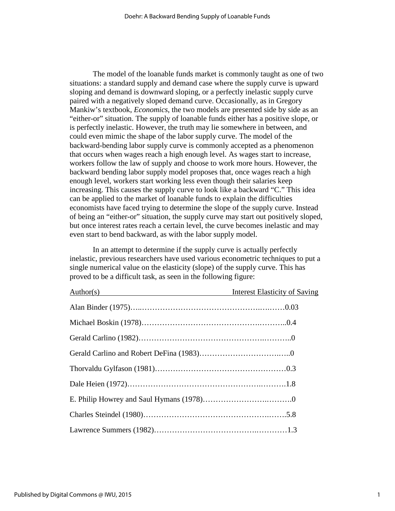The model of the loanable funds market is commonly taught as one of two situations: a standard supply and demand case where the supply curve is upward sloping and demand is downward sloping, or a perfectly inelastic supply curve paired with a negatively sloped demand curve. Occasionally, as in Gregory Mankiw's textbook, *Economics*, the two models are presented side by side as an "either-or" situation. The supply of loanable funds either has a positive slope, or is perfectly inelastic. However, the truth may lie somewhere in between, and could even mimic the shape of the labor supply curve. The model of the backward-bending labor supply curve is commonly accepted as a phenomenon that occurs when wages reach a high enough level. As wages start to increase, workers follow the law of supply and choose to work more hours. However, the backward bending labor supply model proposes that, once wages reach a high enough level, workers start working less even though their salaries keep increasing. This causes the supply curve to look like a backward "C." This idea can be applied to the market of loanable funds to explain the difficulties economists have faced trying to determine the slope of the supply curve. Instead of being an "either-or" situation, the supply curve may start out positively sloped, but once interest rates reach a certain level, the curve becomes inelastic and may even start to bend backward, as with the labor supply model.

 In an attempt to determine if the supply curve is actually perfectly inelastic, previous researchers have used various econometric techniques to put a single numerical value on the elasticity (slope) of the supply curve. This has proved to be a difficult task, as seen in the following figure:

| Author(s) | <b>Interest Elasticity of Saving</b> |
|-----------|--------------------------------------|
|           |                                      |
|           |                                      |
|           |                                      |
|           |                                      |
|           |                                      |
|           |                                      |
|           |                                      |
|           |                                      |
|           |                                      |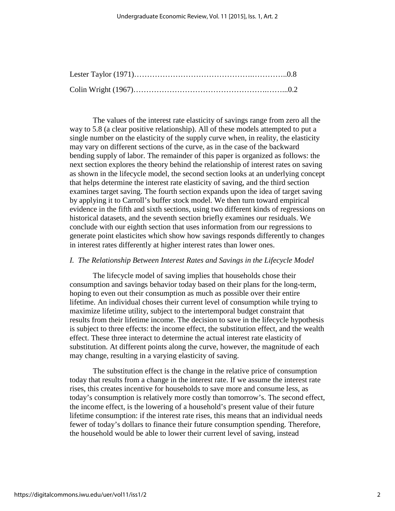The values of the interest rate elasticity of savings range from zero all the way to 5.8 (a clear positive relationship). All of these models attempted to put a single number on the elasticity of the supply curve when, in reality, the elasticity may vary on different sections of the curve, as in the case of the backward bending supply of labor. The remainder of this paper is organized as follows: the next section explores the theory behind the relationship of interest rates on saving as shown in the lifecycle model, the second section looks at an underlying concept that helps determine the interest rate elasticity of saving, and the third section examines target saving. The fourth section expands upon the idea of target saving by applying it to Carroll's buffer stock model. We then turn toward empirical evidence in the fifth and sixth sections, using two different kinds of regressions on historical datasets, and the seventh section briefly examines our residuals. We conclude with our eighth section that uses information from our regressions to generate point elasticites which show how savings responds differently to changes in interest rates differently at higher interest rates than lower ones.

#### *I. The Relationship Between Interest Rates and Savings in the Lifecycle Model*

The lifecycle model of saving implies that households chose their consumption and savings behavior today based on their plans for the long-term, hoping to even out their consumption as much as possible over their entire lifetime. An individual choses their current level of consumption while trying to maximize lifetime utility, subject to the intertemporal budget constraint that results from their lifetime income. The decision to save in the lifecycle hypothesis is subject to three effects: the income effect, the substitution effect, and the wealth effect. These three interact to determine the actual interest rate elasticity of substitution. At different points along the curve, however, the magnitude of each may change, resulting in a varying elasticity of saving.

The substitution effect is the change in the relative price of consumption today that results from a change in the interest rate. If we assume the interest rate rises, this creates incentive for households to save more and consume less, as today's consumption is relatively more costly than tomorrow's. The second effect, the income effect, is the lowering of a household's present value of their future lifetime consumption: if the interest rate rises, this means that an individual needs fewer of today's dollars to finance their future consumption spending. Therefore, the household would be able to lower their current level of saving, instead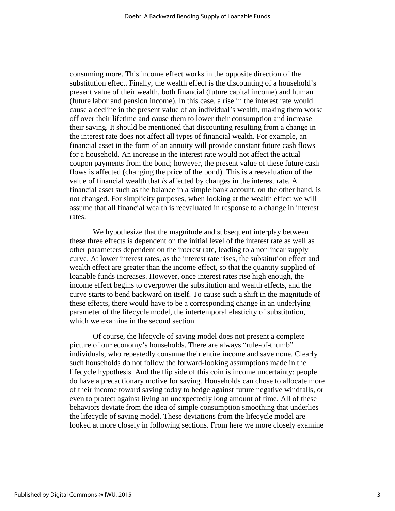consuming more. This income effect works in the opposite direction of the substitution effect. Finally, the wealth effect is the discounting of a household's present value of their wealth, both financial (future capital income) and human (future labor and pension income). In this case, a rise in the interest rate would cause a decline in the present value of an individual's wealth, making them worse off over their lifetime and cause them to lower their consumption and increase their saving. It should be mentioned that discounting resulting from a change in the interest rate does not affect all types of financial wealth. For example, an financial asset in the form of an annuity will provide constant future cash flows for a household. An increase in the interest rate would not affect the actual coupon payments from the bond; however, the present value of these future cash flows is affected (changing the price of the bond). This is a reevaluation of the value of financial wealth that *is* affected by changes in the interest rate. A financial asset such as the balance in a simple bank account, on the other hand, is not changed. For simplicity purposes, when looking at the wealth effect we will assume that all financial wealth is reevaluated in response to a change in interest rates.

We hypothesize that the magnitude and subsequent interplay between these three effects is dependent on the initial level of the interest rate as well as other parameters dependent on the interest rate, leading to a nonlinear supply curve. At lower interest rates, as the interest rate rises, the substitution effect and wealth effect are greater than the income effect, so that the quantity supplied of loanable funds increases. However, once interest rates rise high enough, the income effect begins to overpower the substitution and wealth effects, and the curve starts to bend backward on itself. To cause such a shift in the magnitude of these effects, there would have to be a corresponding change in an underlying parameter of the lifecycle model, the intertemporal elasticity of substitution, which we examine in the second section.

Of course, the lifecycle of saving model does not present a complete picture of our economy's households. There are always "rule-of-thumb" individuals, who repeatedly consume their entire income and save none. Clearly such households do not follow the forward-looking assumptions made in the lifecycle hypothesis. And the flip side of this coin is income uncertainty: people do have a precautionary motive for saving. Households can chose to allocate more of their income toward saving today to hedge against future negative windfalls, or even to protect against living an unexpectedly long amount of time. All of these behaviors deviate from the idea of simple consumption smoothing that underlies the lifecycle of saving model. These deviations from the lifecycle model are looked at more closely in following sections. From here we more closely examine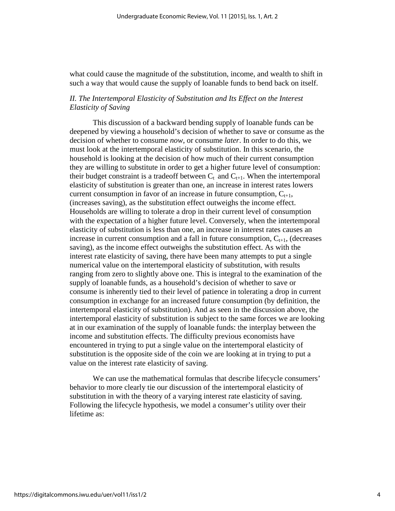what could cause the magnitude of the substitution, income, and wealth to shift in such a way that would cause the supply of loanable funds to bend back on itself.

# *II. The Intertemporal Elasticity of Substitution and Its Effect on the Interest Elasticity of Saving*

This discussion of a backward bending supply of loanable funds can be deepened by viewing a household's decision of whether to save or consume as the decision of whether to consume *now*, or consume *later*. In order to do this, we must look at the intertemporal elasticity of substitution. In this scenario, the household is looking at the decision of how much of their current consumption they are willing to substitute in order to get a higher future level of consumption: their budget constraint is a tradeoff between  $C_t$  and  $C_{t+1}$ . When the intertemporal elasticity of substitution is greater than one, an increase in interest rates lowers current consumption in favor of an increase in future consumption,  $C_{t+1}$ , (increases saving), as the substitution effect outweighs the income effect. Households are willing to tolerate a drop in their current level of consumption with the expectation of a higher future level. Conversely, when the intertemporal elasticity of substitution is less than one, an increase in interest rates causes an increase in current consumption and a fall in future consumption,  $C_{t+1}$ , (decreases saving), as the income effect outweighs the substitution effect. As with the interest rate elasticity of saving, there have been many attempts to put a single numerical value on the intertemporal elasticity of substitution, with results ranging from zero to slightly above one. This is integral to the examination of the supply of loanable funds, as a household's decision of whether to save or consume is inherently tied to their level of patience in tolerating a drop in current consumption in exchange for an increased future consumption (by definition, the intertemporal elasticity of substitution). And as seen in the discussion above, the intertemporal elasticity of substitution is subject to the same forces we are looking at in our examination of the supply of loanable funds: the interplay between the income and substitution effects. The difficulty previous economists have encountered in trying to put a single value on the intertemporal elasticity of substitution is the opposite side of the coin we are looking at in trying to put a value on the interest rate elasticity of saving.

We can use the mathematical formulas that describe lifecycle consumers' behavior to more clearly tie our discussion of the intertemporal elasticity of substitution in with the theory of a varying interest rate elasticity of saving. Following the lifecycle hypothesis, we model a consumer's utility over their lifetime as: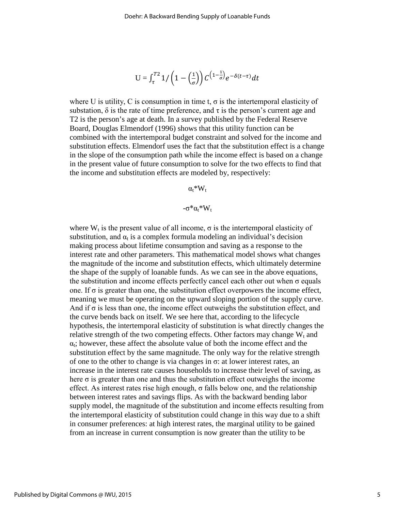$$
U = \int_{\tau}^{T2} 1/\left(1 - \left(\frac{1}{\sigma}\right)\right) C^{\left(1 - \frac{1}{\sigma}\right)} e^{-\delta(t - \tau)} dt
$$

where U is utility, C is consumption in time t,  $\sigma$  is the intertemporal elasticity of substation,  $\delta$  is the rate of time preference, and  $\tau$  is the person's current age and T2 is the person's age at death. In a survey published by the Federal Reserve Board, Douglas Elmendorf (1996) shows that this utility function can be combined with the intertemporal budget constraint and solved for the income and substitution effects. Elmendorf uses the fact that the substitution effect is a change in the slope of the consumption path while the income effect is based on a change in the present value of future consumption to solve for the two effects to find that the income and substitution effects are modeled by, respectively:

#### $\alpha_t^*W_t$

$$
-\sigma^*\alpha_t^*W_t
$$

where  $W_t$  is the present value of all income,  $\sigma$  is the intertemporal elasticity of substitution, and  $\alpha_t$  is a complex formula modeling an individual's decision making process about lifetime consumption and saving as a response to the interest rate and other parameters. This mathematical model shows what changes the magnitude of the income and substitution effects, which ultimately determine the shape of the supply of loanable funds. As we can see in the above equations, the substitution and income effects perfectly cancel each other out when  $\sigma$  equals one. If  $\sigma$  is greater than one, the substitution effect overpowers the income effect, meaning we must be operating on the upward sloping portion of the supply curve. And if  $\sigma$  is less than one, the income effect outweighs the substitution effect, and the curve bends back on itself. We see here that, according to the lifecycle hypothesis, the intertemporal elasticity of substitution is what directly changes the relative strength of the two competing effects. Other factors may change  $W_t$  and  $\alpha_t$ ; however, these affect the absolute value of both the income effect and the substitution effect by the same magnitude. The only way for the relative strength of one to the other to change is via changes in  $\sigma$ : at lower interest rates, an increase in the interest rate causes households to increase their level of saving, as here  $\sigma$  is greater than one and thus the substitution effect outweighs the income effect. As interest rates rise high enough, σ falls below one, and the relationship between interest rates and savings flips. As with the backward bending labor supply model, the magnitude of the substitution and income effects resulting from the intertemporal elasticity of substitution could change in this way due to a shift in consumer preferences: at high interest rates, the marginal utility to be gained from an increase in current consumption is now greater than the utility to be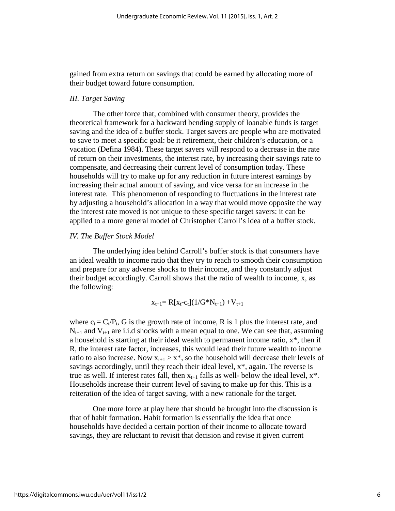gained from extra return on savings that could be earned by allocating more of their budget toward future consumption.

#### *III. Target Saving*

The other force that, combined with consumer theory, provides the theoretical framework for a backward bending supply of loanable funds is target saving and the idea of a buffer stock. Target savers are people who are motivated to save to meet a specific goal: be it retirement, their children's education, or a vacation (Defina 1984). These target savers will respond to a decrease in the rate of return on their investments, the interest rate, by increasing their savings rate to compensate, and decreasing their current level of consumption today. These households will try to make up for any reduction in future interest earnings by increasing their actual amount of saving, and vice versa for an increase in the interest rate. This phenomenon of responding to fluctuations in the interest rate by adjusting a household's allocation in a way that would move opposite the way the interest rate moved is not unique to these specific target savers: it can be applied to a more general model of Christopher Carroll's idea of a buffer stock.

#### *IV. The Buffer Stock Model*

 The underlying idea behind Carroll's buffer stock is that consumers have an ideal wealth to income ratio that they try to reach to smooth their consumption and prepare for any adverse shocks to their income, and they constantly adjust their budget accordingly. Carroll shows that the ratio of wealth to income, x, as the following:

$$
x_{t+1} \!\!= R[x_t\text{-}c_t](1/G^*N_{t+1}) +\!V_{t+1}
$$

where  $c_t = C_t/P_t$ , G is the growth rate of income, R is 1 plus the interest rate, and  $N_{t+1}$  and  $V_{t+1}$  are i.i.d shocks with a mean equal to one. We can see that, assuming a household is starting at their ideal wealth to permanent income ratio,  $x^*$ , then if R, the interest rate factor, increases, this would lead their future wealth to income ratio to also increase. Now  $x_{t+1} > x^*$ , so the household will decrease their levels of savings accordingly, until they reach their ideal level, x\*, again. The reverse is true as well. If interest rates fall, then  $x_{t+1}$  falls as well- below the ideal level,  $x^*$ . Households increase their current level of saving to make up for this. This is a reiteration of the idea of target saving, with a new rationale for the target.

 One more force at play here that should be brought into the discussion is that of habit formation. Habit formation is essentially the idea that once households have decided a certain portion of their income to allocate toward savings, they are reluctant to revisit that decision and revise it given current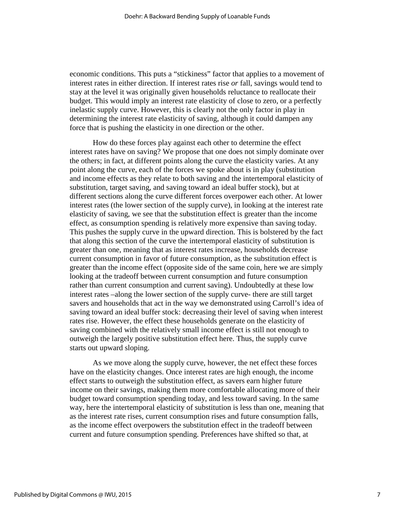economic conditions. This puts a "stickiness" factor that applies to a movement of interest rates in either direction. If interest rates rise *or* fall, savings would tend to stay at the level it was originally given households reluctance to reallocate their budget. This would imply an interest rate elasticity of close to zero, or a perfectly inelastic supply curve. However, this is clearly not the only factor in play in determining the interest rate elasticity of saving, although it could dampen any force that is pushing the elasticity in one direction or the other.

How do these forces play against each other to determine the effect interest rates have on saving? We propose that one does not simply dominate over the others; in fact, at different points along the curve the elasticity varies. At any point along the curve, each of the forces we spoke about is in play (substitution and income effects as they relate to both saving and the intertemporal elasticity of substitution, target saving, and saving toward an ideal buffer stock), but at different sections along the curve different forces overpower each other. At lower interest rates (the lower section of the supply curve), in looking at the interest rate elasticity of saving, we see that the substitution effect is greater than the income effect, as consumption spending is relatively more expensive than saving today. This pushes the supply curve in the upward direction. This is bolstered by the fact that along this section of the curve the intertemporal elasticity of substitution is greater than one, meaning that as interest rates increase, households decrease current consumption in favor of future consumption, as the substitution effect is greater than the income effect (opposite side of the same coin, here we are simply looking at the tradeoff between current consumption and future consumption rather than current consumption and current saving). Undoubtedly at these low interest rates –along the lower section of the supply curve- there are still target savers and households that act in the way we demonstrated using Carroll's idea of saving toward an ideal buffer stock: decreasing their level of saving when interest rates rise. However, the effect these households generate on the elasticity of saving combined with the relatively small income effect is still not enough to outweigh the largely positive substitution effect here. Thus, the supply curve starts out upward sloping.

As we move along the supply curve, however, the net effect these forces have on the elasticity changes. Once interest rates are high enough, the income effect starts to outweigh the substitution effect, as savers earn higher future income on their savings, making them more comfortable allocating more of their budget toward consumption spending today, and less toward saving. In the same way, here the intertemporal elasticity of substitution is less than one, meaning that as the interest rate rises, current consumption rises and future consumption falls, as the income effect overpowers the substitution effect in the tradeoff between current and future consumption spending. Preferences have shifted so that, at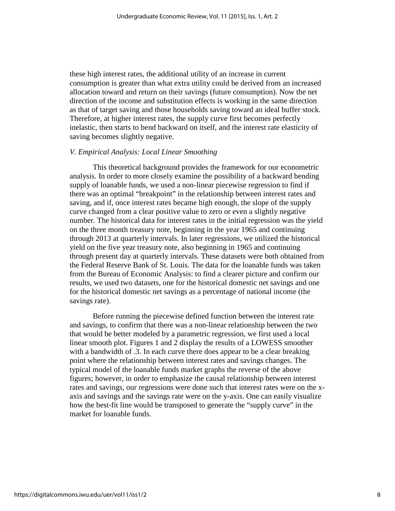these high interest rates, the additional utility of an increase in current consumption is greater than what extra utility could be derived from an increased allocation toward and return on their savings (future consumption). Now the net direction of the income and substitution effects is working in the same direction as that of target saving and those households saving toward an ideal buffer stock. Therefore, at higher interest rates, the supply curve first becomes perfectly inelastic, then starts to bend backward on itself, and the interest rate elasticity of saving becomes slightly negative.

#### *V. Empirical Analysis: Local Linear Smoothing*

 This theoretical background provides the framework for our econometric analysis. In order to more closely examine the possibility of a backward bending supply of loanable funds, we used a non-linear piecewise regression to find if there was an optimal "breakpoint" in the relationship between interest rates and saving, and if, once interest rates became high enough, the slope of the supply curve changed from a clear positive value to zero or even a slightly negative number. The historical data for interest rates in the initial regression was the yield on the three month treasury note, beginning in the year 1965 and continuing through 2013 at quarterly intervals. In later regressions, we utilized the historical yield on the five year treasury note, also beginning in 1965 and continuing through present day at quarterly intervals. These datasets were both obtained from the Federal Reserve Bank of St. Louis. The data for the loanable funds was taken from the Bureau of Economic Analysis: to find a clearer picture and confirm our results, we used two datasets, one for the historical domestic net savings and one for the historical domestic net savings as a percentage of national income (the savings rate).

 Before running the piecewise defined function between the interest rate and savings, to confirm that there was a non-linear relationship between the two that would be better modeled by a parametric regression, we first used a local linear smooth plot. Figures 1 and 2 display the results of a LOWESS smoother with a bandwidth of .3. In each curve there does appear to be a clear breaking point where the relationship between interest rates and savings changes. The typical model of the loanable funds market graphs the reverse of the above figures; however, in order to emphasize the causal relationship between interest rates and savings, our regressions were done such that interest rates were on the xaxis and savings and the savings rate were on the y-axis. One can easily visualize how the best-fit line would be transposed to generate the "supply curve" in the market for loanable funds.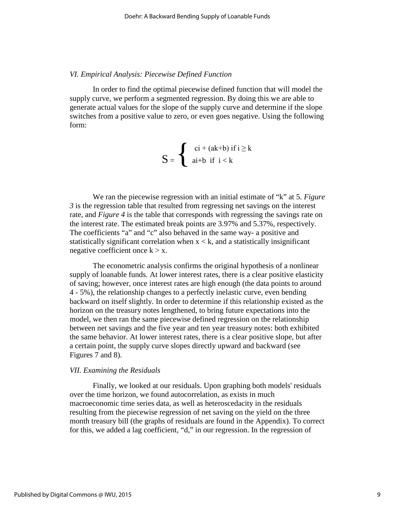#### *VI. Empirical Analysis: Piecewise Defined Function*

 In order to find the optimal piecewise defined function that will model the supply curve, we perform a segmented regression. By doing this we are able to generate actual values for the slope of the supply curve and determine if the slope switches from a positive value to zero, or even goes negative. Using the following form:

$$
S = \left\{ \begin{array}{c} \operatorname{ci} + (\operatorname{ak} + \operatorname{b}) \text{ if } i \geq k \\ \operatorname{ai} + \operatorname{b} \text{ if } i < k \end{array} \right.
$$

We ran the piecewise regression with an initial estimate of "k" at 5. *Figure 3* is the regression table that resulted from regressing net savings on the interest rate, and *Figure 4* is the table that corresponds with regressing the savings rate on the interest rate. The estimated break points are 3.97% and 5.37%, respectively. The coefficients "a" and "c" also behaved in the same way- a positive and statistically significant correlation when  $x < k$ , and a statistically insignificant negative coefficient once  $k > x$ .

The econometric analysis confirms the original hypothesis of a nonlinear supply of loanable funds. At lower interest rates, there is a clear positive elasticity of saving; however, once interest rates are high enough (the data points to around 4 - 5%), the relationship changes to a perfectly inelastic curve, even bending backward on itself slightly. In order to determine if this relationship existed as the horizon on the treasury notes lengthened, to bring future expectations into the model, we then ran the same piecewise defined regression on the relationship between net savings and the five year and ten year treasury notes: both exhibited the same behavior. At lower interest rates, there is a clear positive slope, but after a certain point, the supply curve slopes directly upward and backward (see Figures 7 and 8).

#### *VII. Examining the Residuals*

Finally, we looked at our residuals. Upon graphing both models' residuals over the time horizon, we found autocorrelation, as exists in much macroeconomic time series data, as well as heteroscedacity in the residuals resulting from the piecewise regression of net saving on the yield on the three month treasury bill (the graphs of residuals are found in the Appendix). To correct for this, we added a lag coefficient, "d," in our regression. In the regression of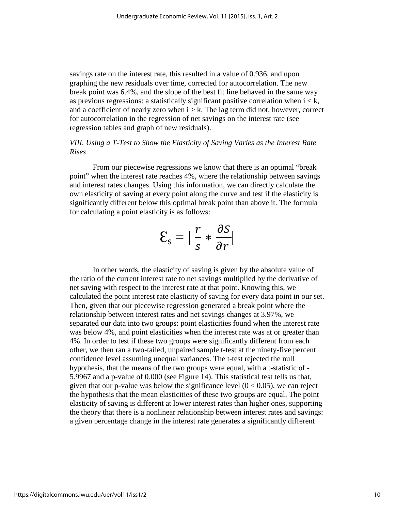savings rate on the interest rate, this resulted in a value of 0.936, and upon graphing the new residuals over time, corrected for autocorrelation. The new break point was 6.4%, and the slope of the best fit line behaved in the same way as previous regressions: a statistically significant positive correlation when  $i < k$ , and a coefficient of nearly zero when  $i > k$ . The lag term did not, however, correct for autocorrelation in the regression of net savings on the interest rate (see regression tables and graph of new residuals).

# *VIII. Using a T-Test to Show the Elasticity of Saving Varies as the Interest Rate Rises*

 From our piecewise regressions we know that there is an optimal "break point" when the interest rate reaches 4%, where the relationship between savings and interest rates changes. Using this information, we can directly calculate the own elasticity of saving at every point along the curve and test if the elasticity is significantly different below this optimal break point than above it. The formula for calculating a point elasticity is as follows:

$$
\mathcal{E}_{\rm s} = |\frac{r}{s} * \frac{\partial s}{\partial r}|
$$

In other words, the elasticity of saving is given by the absolute value of the ratio of the current interest rate to net savings multiplied by the derivative of net saving with respect to the interest rate at that point. Knowing this, we calculated the point interest rate elasticity of saving for every data point in our set. Then, given that our piecewise regression generated a break point where the relationship between interest rates and net savings changes at 3.97%, we separated our data into two groups: point elasticities found when the interest rate was below 4%, and point elasticities when the interest rate was at or greater than 4%. In order to test if these two groups were significantly different from each other, we then ran a two-tailed, unpaired sample t-test at the ninety-five percent confidence level assuming unequal variances. The t-test rejected the null hypothesis, that the means of the two groups were equal, with a t-statistic of - 5.9967 and a p-value of 0.000 (see Figure 14). This statistical test tells us that, given that our p-value was below the significance level  $(0 < 0.05)$ , we can reject the hypothesis that the mean elasticities of these two groups are equal. The point elasticity of saving is different at lower interest rates than higher ones, supporting the theory that there is a nonlinear relationship between interest rates and savings: a given percentage change in the interest rate generates a significantly different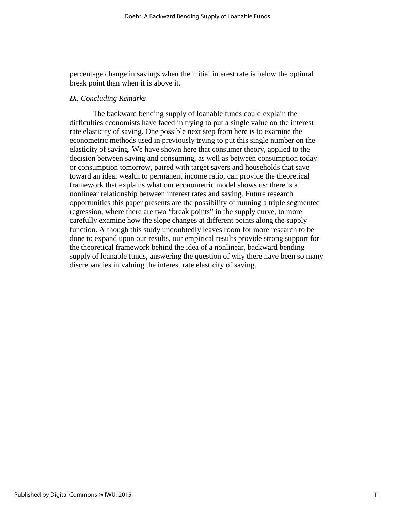percentage change in savings when the initial interest rate is below the optimal break point than when it is above it.

#### *IX. Concluding Remarks*

The backward bending supply of loanable funds could explain the difficulties economists have faced in trying to put a single value on the interest rate elasticity of saving. One possible next step from here is to examine the econometric methods used in previously trying to put this single number on the elasticity of saving. We have shown here that consumer theory, applied to the decision between saving and consuming, as well as between consumption today or consumption tomorrow, paired with target savers and households that save toward an ideal wealth to permanent income ratio, can provide the theoretical framework that explains what our econometric model shows us: there is a nonlinear relationship between interest rates and saving. Future research opportunities this paper presents are the possibility of running a triple segmented regression, where there are two "break points" in the supply curve, to more carefully examine how the slope changes at different points along the supply function. Although this study undoubtedly leaves room for more research to be done to expand upon our results, our empirical results provide strong support for the theoretical framework behind the idea of a nonlinear, backward bending supply of loanable funds, answering the question of why there have been so many discrepancies in valuing the interest rate elasticity of saving.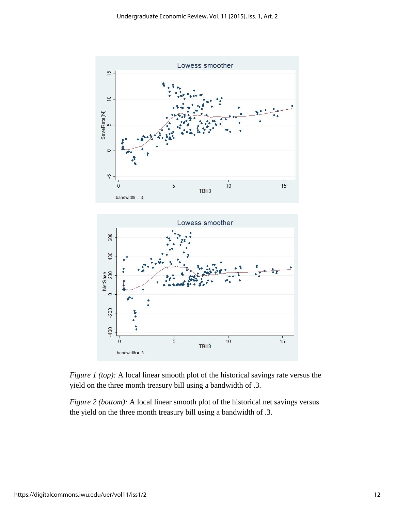



*Figure 2 (bottom):* A local linear smooth plot of the historical net savings versus the yield on the three month treasury bill using a bandwidth of .3.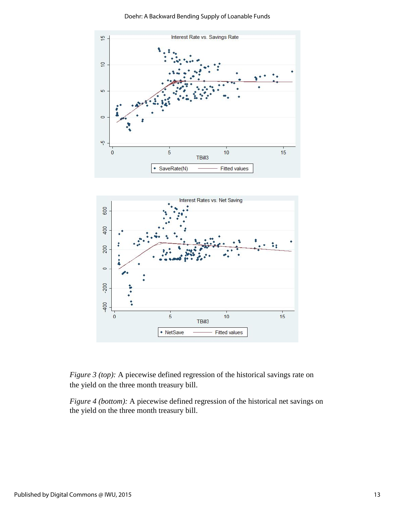Doehr: A Backward Bending Supply of Loanable Funds



*Figure 3 (top):* A piecewise defined regression of the historical savings rate on the yield on the three month treasury bill.

*Figure 4 (bottom):* A piecewise defined regression of the historical net savings on the yield on the three month treasury bill.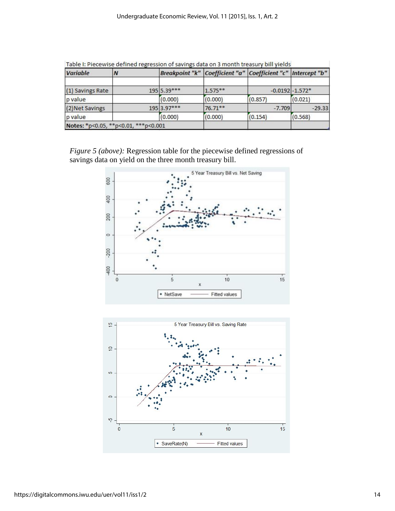| <b>Variable</b>  | Ν                                    |             | Breakpoint "k"   Coefficient "a"   Coefficient "c"   Intercept "b" |          |                     |  |
|------------------|--------------------------------------|-------------|--------------------------------------------------------------------|----------|---------------------|--|
| (1) Savings Rate |                                      | 195 5.39*** | $1.575**$                                                          |          | $-0.0192$ $-1.572*$ |  |
| p value          |                                      | (0.000)     | (0.000)                                                            | (0.857)  | (0.021)             |  |
| (2) Net Savings  |                                      | 195 3.97*** | $76.71***$                                                         | $-7.709$ | $-29.33$            |  |
| p value          |                                      | (0.000)     | (0.000)                                                            | (0.154)  | (0.568)             |  |
|                  | Notes: *p<0.05, **p<0.01, ***p<0.001 |             |                                                                    |          |                     |  |

Table I: Diecewice defined regression of savings data on 3 month treasury hill vialds

*Figure 5 (above):* Regression table for the piecewise defined regressions of savings data on yield on the three month treasury bill.



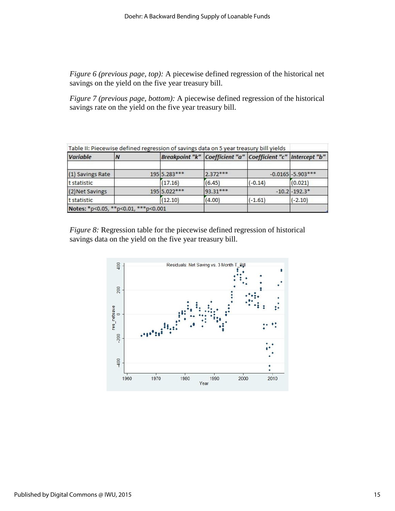*Figure 6 (previous page, top):* A piecewise defined regression of the historical net savings on the yield on the five year treasury bill.

*Figure 7 (previous page, bottom):* A piecewise defined regression of the historical savings rate on the yield on the five year treasury bill.

|                  | Table II: Piecewise defined regression of savings data on 5 year treasury bill yields |              |                                                                    |           |                       |
|------------------|---------------------------------------------------------------------------------------|--------------|--------------------------------------------------------------------|-----------|-----------------------|
| <b>Variable</b>  | N                                                                                     |              | Breakpoint "k"   Coefficient "a"   Coefficient "c"   Intercept "b" |           |                       |
| (1) Savings Rate |                                                                                       | 195 5.283*** | $2.372***$                                                         |           | $-0.0165$ $-5.903***$ |
| t statistic      |                                                                                       | (17.16)      | (6.45)                                                             | $(-0.14)$ | (0.021)               |
| (2) Net Savings  |                                                                                       | 195 5.022*** | 93.31***                                                           |           | $-10.2$ $-192.3*$     |
| t statistic      |                                                                                       | (12.10)      | (4.00)                                                             | $(-1.61)$ | $(-2.10)$             |
|                  | Notes: *p<0.05, **p<0.01, ***p<0.001                                                  |              |                                                                    |           |                       |

*Figure 8:* Regression table for the piecewise defined regression of historical savings data on the yield on the five year treasury bill.

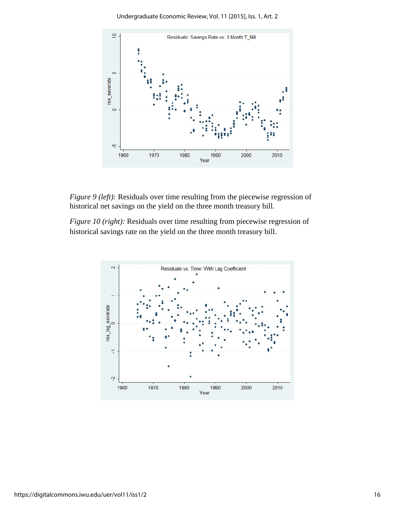Undergraduate Economic Review, Vol. 11 [2015], Iss. 1, Art. 2



*Figure 9 (left):* Residuals over time resulting from the piecewise regression of historical net savings on the yield on the three month treasury bill.

*Figure 10 (right):* Residuals over time resulting from piecewise regression of historical savings rate on the yield on the three month treasury bill.

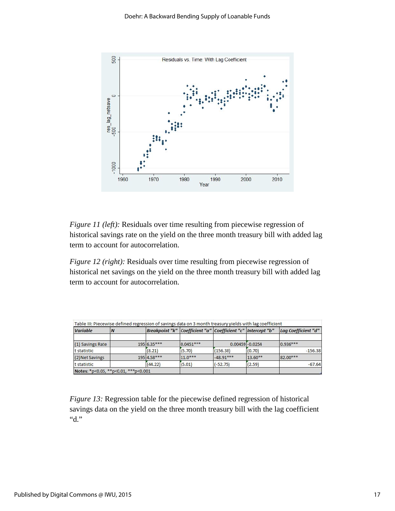

*Figure 11 (left):* Residuals over time resulting from piecewise regression of historical savings rate on the yield on the three month treasury bill with added lag term to account for autocorrelation.

*Figure 12 (right):* Residuals over time resulting from piecewise regression of historical net savings on the yield on the three month treasury bill with added lag term to account for autocorrelation.

| Variable         |                                      |               | Breakpoint "k"   Coefficient "a"   Coefficient "c"   Intercept "b" |                    |         | Lag Coefficient "d" |
|------------------|--------------------------------------|---------------|--------------------------------------------------------------------|--------------------|---------|---------------------|
| (1) Savings Rate |                                      | $195 6.35***$ | $ 0.0451***$                                                       | $0.00459 - 0.0254$ |         | $0.936***$          |
| t statistic      |                                      | (8.21)        | (5.70)                                                             | (156.38)           | (0.70)  | $-156.38$           |
| (2) Net Savings  |                                      | 195 4.58***   | $11.0***$                                                          | $-48.91***$        | 13.60** | 82.00***            |
| t statistic      |                                      | (44.22)       | (5.01)                                                             | $(-52.75)$         | (2.59)  | $-67.64$            |
|                  | Notes: *p<0.05, **p<0.01, ***p<0.001 |               |                                                                    |                    |         |                     |

*Figure 13:* Regression table for the piecewise defined regression of historical savings data on the yield on the three month treasury bill with the lag coefficient "d."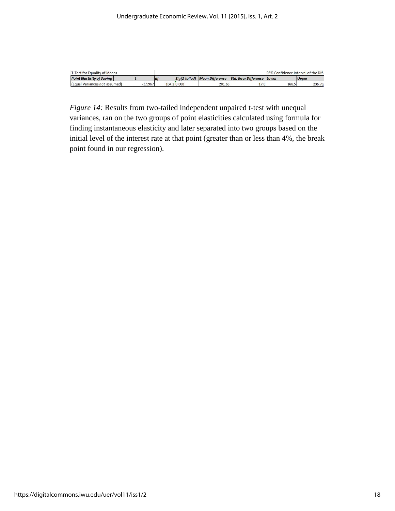| T-Test for Equality of Means      |        |  | 95% Confidence Interval of the Dif. |        |                                                           |       |              |
|-----------------------------------|--------|--|-------------------------------------|--------|-----------------------------------------------------------|-------|--------------|
| <b>Point Elasticity of Saving</b> |        |  |                                     |        | Sia(2-tailed) Mean Difference Std. Error Difference Lower |       | <b>Upper</b> |
| (Equal Variances not assumed)     | 3.9967 |  | 104.2 0.000                         | 201.63 |                                                           | 166.5 | 236.78       |

*Figure 14:* Results from two-tailed independent unpaired t-test with unequal variances, ran on the two groups of point elasticities calculated using formula for finding instantaneous elasticity and later separated into two groups based on the initial level of the interest rate at that point (greater than or less than 4%, the break point found in our regression).